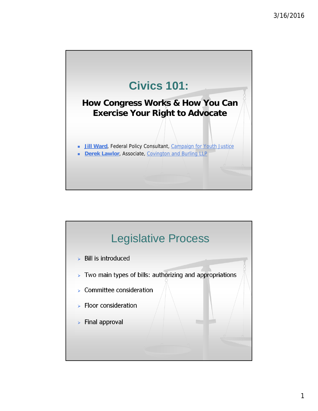

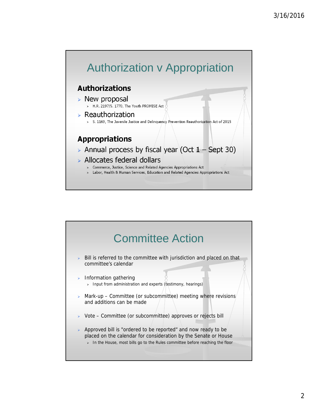

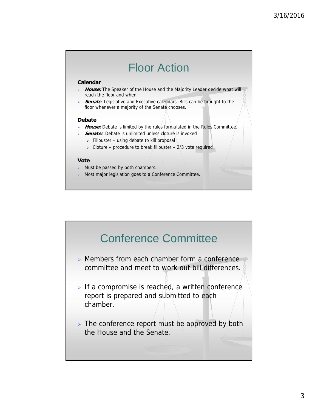

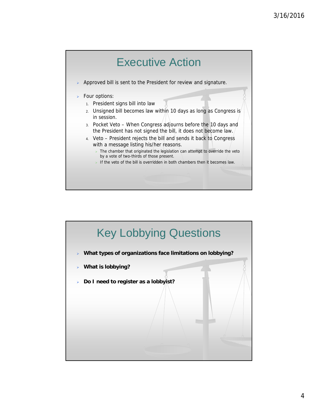

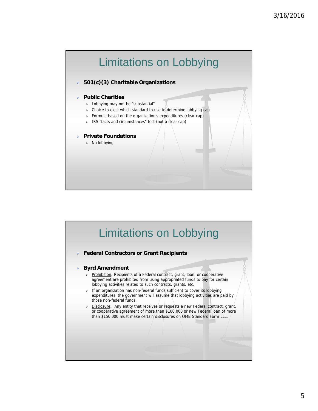

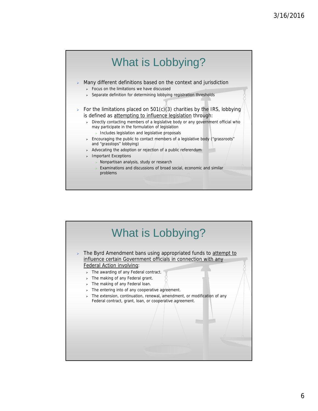

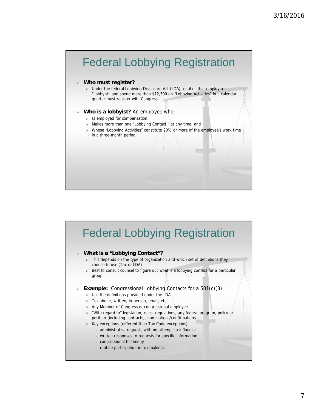

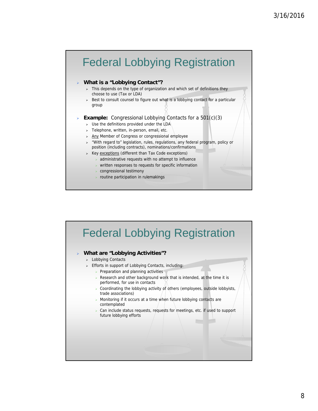